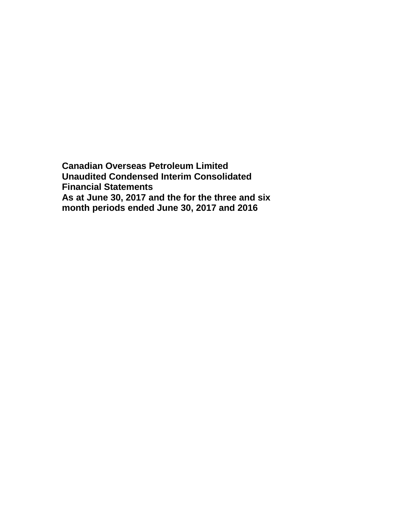**Canadian Overseas Petroleum Limited Unaudited Condensed Interim Consolidated Financial Statements As at June 30, 2017 and the for the three and six month periods ended June 30, 2017 and 2016**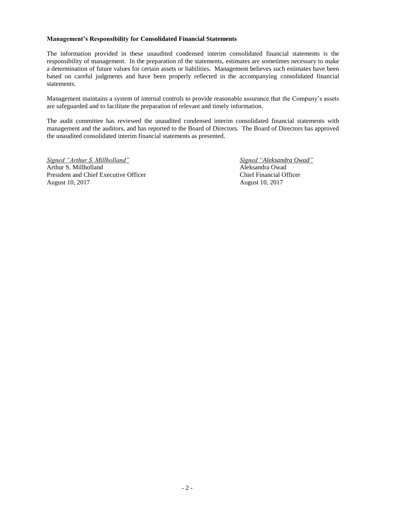#### **Management's Responsibility for Consolidated Financial Statements**

The information provided in these unaudited condensed interim consolidated financial statements is the responsibility of management. In the preparation of the statements, estimates are sometimes necessary to make a determination of future values for certain assets or liabilities. Management believes such estimates have been based on careful judgments and have been properly reflected in the accompanying consolidated financial statements.

Management maintains a system of internal controls to provide reasonable assurance that the Company's assets are safeguarded and to facilitate the preparation of relevant and timely information.

The audit committee has reviewed the unaudited condensed interim consolidated financial statements with management and the auditors, and has reported to the Board of Directors. The Board of Directors has approved the unaudited consolidated interim financial statements as presented.

*Signed "Arthur S. Millholland" Signed "Aleksandra Owad"* Arthur S. Millholland Aleksandra Owad President and Chief Executive Officer Chief Financial Officer August 10, 2017 August 10, 2017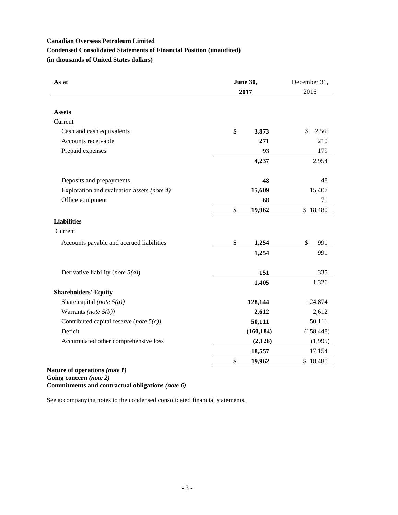# **Canadian Overseas Petroleum Limited Condensed Consolidated Statements of Financial Position (unaudited) (in thousands of United States dollars)**

| As at                                                            | <b>June 30,</b> | December 31, |
|------------------------------------------------------------------|-----------------|--------------|
|                                                                  | 2017            | 2016         |
|                                                                  |                 |              |
| <b>Assets</b>                                                    |                 |              |
| Current                                                          |                 |              |
| Cash and cash equivalents                                        | \$<br>3,873     | \$<br>2,565  |
| Accounts receivable                                              | 271             | 210          |
| Prepaid expenses                                                 | 93              | 179          |
|                                                                  | 4,237           | 2,954        |
|                                                                  |                 |              |
| Deposits and prepayments                                         | 48              | 48           |
| Exploration and evaluation assets (note 4)                       | 15,609          | 15,407       |
| Office equipment                                                 | 68              | 71           |
|                                                                  | \$<br>19,962    | \$18,480     |
| <b>Liabilities</b>                                               |                 |              |
| Current                                                          |                 |              |
| Accounts payable and accrued liabilities                         | \$<br>1,254     | \$<br>991    |
|                                                                  | 1,254           | 991          |
| Derivative liability (note $5(a)$ )                              | 151             | 335          |
|                                                                  | 1,405           | 1,326        |
| <b>Shareholders' Equity</b>                                      |                 |              |
| Share capital (note $5(a)$ )                                     | 128,144         | 124,874      |
| Warrants (note $5(b)$ )                                          | 2,612           | 2,612        |
| Contributed capital reserve (note $5(c)$ )                       | 50,111          | 50,111       |
| Deficit                                                          |                 |              |
|                                                                  | (160, 184)      | (158, 448)   |
| Accumulated other comprehensive loss                             | (2,126)         | (1,995)      |
|                                                                  | 18,557          | 17,154       |
| $\mathbf{r}$ $\mathbf{r}$ $\mathbf{r}$ $\mathbf{r}$ $\mathbf{r}$ | \$<br>19,962    | \$18,480     |

### **Nature of operations** *(note 1)* **Going concern** *(note 2)* **Commitments and contractual obligations** *(note 6)*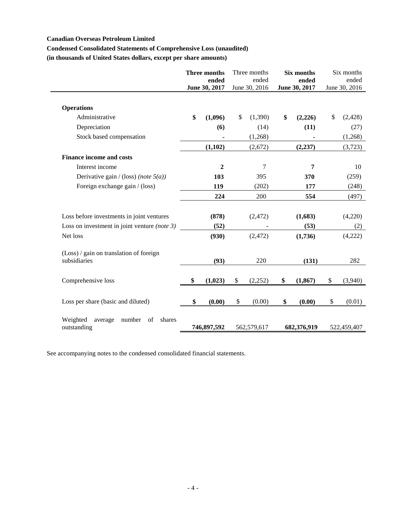## **Canadian Overseas Petroleum Limited**

# **Condensed Consolidated Statements of Comprehensive Loss (unaudited)**

**(in thousands of United States dollars, except per share amounts)**

|                                                              | <b>Three months</b><br>ended<br>June 30, 2017 | Three months<br>ended<br>June 30, 2016 | Six months<br>ended<br>June 30, 2017 | Six months<br>ended<br>June 30, 2016 |
|--------------------------------------------------------------|-----------------------------------------------|----------------------------------------|--------------------------------------|--------------------------------------|
| <b>Operations</b>                                            |                                               |                                        |                                      |                                      |
| Administrative                                               | \$<br>(1,096)                                 | \$<br>(1,390)                          | \$<br>(2,226)                        | \$<br>(2, 428)                       |
| Depreciation                                                 | (6)                                           | (14)                                   | (11)                                 | (27)                                 |
| Stock based compensation                                     |                                               | (1,268)                                |                                      | (1,268)                              |
|                                                              | (1,102)                                       | (2,672)                                | (2, 237)                             | (3,723)                              |
| <b>Finance income and costs</b>                              |                                               |                                        |                                      |                                      |
| Interest income                                              | $\boldsymbol{2}$                              | 7                                      | 7                                    | 10                                   |
| Derivative gain / (loss) (note $5(a)$ )                      | 103                                           | 395                                    | 370                                  | (259)                                |
| Foreign exchange gain / (loss)                               | 119                                           | (202)                                  | 177                                  | (248)                                |
|                                                              | 224                                           | 200                                    | 554                                  | (497)                                |
| Loss before investments in joint ventures                    | (878)                                         | (2, 472)                               | (1,683)                              | (4,220)                              |
| Loss on investment in joint venture (note $3$ )              | (52)                                          |                                        | (53)                                 | (2)                                  |
| Net loss                                                     | (930)                                         | (2, 472)                               | (1,736)                              | (4,222)                              |
| (Loss) / gain on translation of foreign                      |                                               |                                        |                                      |                                      |
| subsidiaries                                                 | (93)                                          | 220                                    | (131)                                | 282                                  |
| Comprehensive loss                                           | \$<br>(1,023)                                 | \$<br>(2,252)                          | \$<br>(1, 867)                       | \$<br>(3,940)                        |
|                                                              |                                               |                                        |                                      |                                      |
| Loss per share (basic and diluted)                           | \$<br>(0.00)                                  | \$<br>(0.00)                           | \$<br>(0.00)                         | \$<br>(0.01)                         |
| Weighted<br>average<br>of<br>shares<br>number<br>outstanding | 746,897,592                                   | 562,579,617                            | 682,376,919                          | 522,459,407                          |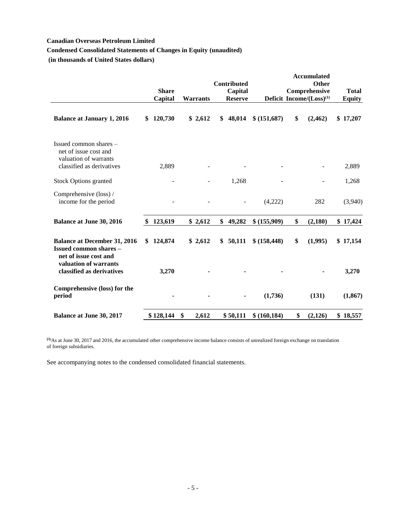# **Canadian Overseas Petroleum Limited**

# **Condensed Consolidated Statements of Changes in Equity (unaudited)**

**(in thousands of United States dollars)**

|                                                                                                       |                |                 | Contributed    |               | <b>Accumulated</b><br><b>Other</b>   |               |
|-------------------------------------------------------------------------------------------------------|----------------|-----------------|----------------|---------------|--------------------------------------|---------------|
|                                                                                                       | <b>Share</b>   |                 | Capital        |               | Comprehensive                        | <b>Total</b>  |
|                                                                                                       | Capital        | <b>Warrants</b> | <b>Reserve</b> |               | Deficit Income/(Loss) <sup>(1)</sup> | <b>Equity</b> |
| <b>Balance at January 1, 2016</b>                                                                     | 120,730<br>\$. | \$2,612         | 48,014<br>\$   | \$ (151,687)  | \$<br>(2,462)                        | \$17,207      |
| Issued common shares –<br>net of issue cost and<br>valuation of warrants<br>classified as derivatives | 2,889          |                 |                |               |                                      | 2,889         |
|                                                                                                       |                |                 |                |               |                                      |               |
| <b>Stock Options granted</b>                                                                          |                |                 | 1,268          |               |                                      | 1,268         |
| Comprehensive (loss) /<br>income for the period                                                       |                |                 |                | (4,222)       | 282                                  | (3,940)       |
| <b>Balance at June 30, 2016</b>                                                                       | 123,619        | \$2,612         | \$<br>49,282   | \$ (155,909)  | \$<br>(2,180)                        | \$17,424      |
| <b>Balance at December 31, 2016</b><br><b>Issued common shares -</b><br>net of issue cost and         | 124,874<br>\$  | \$2,612         | 50,111<br>\$   | \$ (158, 448) | \$<br>(1,995)                        | \$17,154      |
| valuation of warrants<br>classified as derivatives                                                    | 3,270          |                 |                |               |                                      | 3,270         |
| Comprehensive (loss) for the<br>period                                                                |                |                 |                | (1,736)       | (131)                                | (1, 867)      |
| <b>Balance at June 30, 2017</b>                                                                       | \$128,144      | 2,612<br>\$     | \$50,111       | \$(160, 184)  | \$<br>(2,126)                        | \$18,557      |

**(1)**As at June 30, 2017 and 2016, the accumulated other comprehensive income balance consists of unrealized foreign exchange on translation of foreign subsidiaries.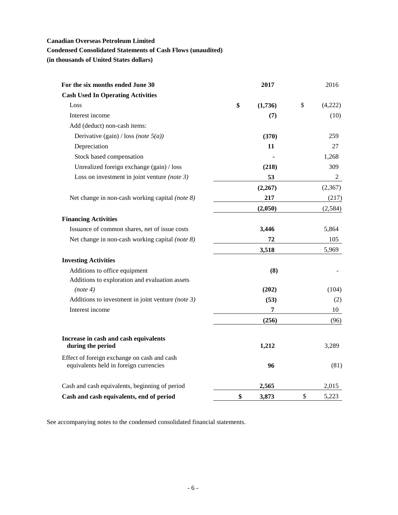# **Canadian Overseas Petroleum Limited**

# **Condensed Consolidated Statements of Cash Flows (unaudited)**

**(in thousands of United States dollars)**

| For the six months ended June 30                                                      | 2017          | 2016          |
|---------------------------------------------------------------------------------------|---------------|---------------|
| <b>Cash Used In Operating Activities</b>                                              |               |               |
| Loss                                                                                  | \$<br>(1,736) | \$<br>(4,222) |
| Interest income                                                                       | (7)           | (10)          |
| Add (deduct) non-cash items:                                                          |               |               |
| Derivative (gain) / loss (note $5(a)$ )                                               | (370)         | 259           |
| Depreciation                                                                          | 11            | 27            |
| Stock based compensation                                                              |               | 1,268         |
| Unrealized foreign exchange (gain) / loss                                             | (218)         | 309           |
| Loss on investment in joint venture (note $3$ )                                       | 53            | $\mathbf{2}$  |
|                                                                                       | (2,267)       | (2,367)       |
| Net change in non-cash working capital (note 8)                                       | 217           | (217)         |
|                                                                                       | (2,050)       | (2,584)       |
| <b>Financing Activities</b>                                                           |               |               |
| Issuance of common shares, net of issue costs                                         | 3,446         | 5,864         |
| Net change in non-cash working capital (note 8)                                       | 72            | 105           |
|                                                                                       | 3,518         | 5,969         |
| <b>Investing Activities</b>                                                           |               |               |
| Additions to office equipment                                                         | (8)           |               |
| Additions to exploration and evaluation assets                                        |               |               |
| (note 4)                                                                              | (202)         | (104)         |
| Additions to investment in joint venture (note $3$ )                                  | (53)          | (2)           |
| Interest income                                                                       | 7             | 10            |
|                                                                                       | (256)         | (96)          |
|                                                                                       |               |               |
| Increase in cash and cash equivalents<br>during the period                            | 1,212         | 3,289         |
| Effect of foreign exchange on cash and cash<br>equivalents held in foreign currencies | 96            | (81)          |
|                                                                                       |               |               |
| Cash and cash equivalents, beginning of period                                        | 2,565         | 2,015         |
| Cash and cash equivalents, end of period                                              | \$<br>3,873   | \$<br>5,223   |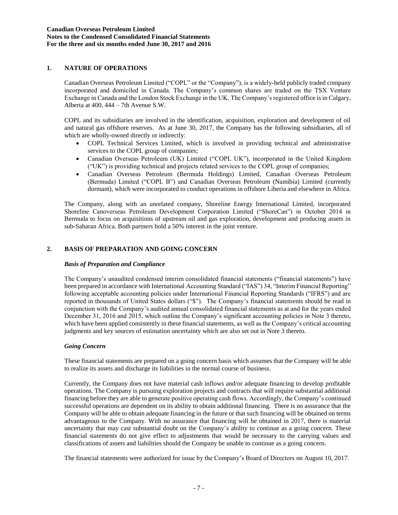# **1. NATURE OF OPERATIONS**

Canadian Overseas Petroleum Limited ("COPL" or the "Company"), is a widely-held publicly traded company incorporated and domiciled in Canada. The Company's common shares are traded on the TSX Venture Exchange in Canada and the London Stock Exchange in the UK. The Company's registered office is in Calgary, Alberta at 400, 444 – 7th Avenue S.W.

COPL and its subsidiaries are involved in the identification, acquisition, exploration and development of oil and natural gas offshore reserves. As at June 30, 2017, the Company has the following subsidiaries, all of which are wholly-owned directly or indirectly:

- COPL Technical Services Limited, which is involved in providing technical and administrative services to the COPL group of companies;
- Canadian Overseas Petroleum (UK) Limited ("COPL UK"), incorporated in the United Kingdom ("UK") is providing technical and projects related services to the COPL group of companies;
- Canadian Overseas Petroleum (Bermuda Holdings) Limited, Canadian Overseas Petroleum (Bermuda) Limited ("COPL B") and Canadian Overseas Petroleum (Namibia) Limited (currently dormant), which were incorporated to conduct operations in offshore Liberia and elsewhere in Africa.

The Company, along with an unrelated company, Shoreline Energy International Limited, incorporated Shoreline Canoverseas Petroleum Development Corporation Limited ("ShoreCan") in October 2014 in Bermuda to focus on acquisitions of upstream oil and gas exploration, development and producing assets in sub-Saharan Africa. Both partners hold a 50% interest in the joint venture.

## **2. BASIS OF PREPARATION AND GOING CONCERN**

#### *Basis of Preparation and Compliance*

The Company's unaudited condensed interim consolidated financial statements ("financial statements") have been prepared in accordance with International Accounting Standard ("IAS") 34, "Interim Financial Reporting" following acceptable accounting policies under International Financial Reporting Standards ("IFRS") and are reported in thousands of United States dollars ("\$"). The Company's financial statements should be read in conjunction with the Company's audited annual consolidated financial statements as at and for the years ended December 31, 2016 and 2015, which outline the Company's significant accounting policies in Note 3 thereto, which have been applied consistently in these financial statements, as well as the Company's critical accounting judgments and key sources of estimation uncertainty which are also set out in Note 3 thereto.

#### *Going Concern*

These financial statements are prepared on a going concern basis which assumes that the Company will be able to realize its assets and discharge its liabilities in the normal course of business.

Currently, the Company does not have material cash inflows and/or adequate financing to develop profitable operations. The Company is pursuing exploration projects and contracts that will require substantial additional financing before they are able to generate positive operating cash flows. Accordingly, the Company's continued successful operations are dependent on its ability to obtain additional financing. There is no assurance that the Company will be able to obtain adequate financing in the future or that such financing will be obtained on terms advantageous to the Company. With no assurance that financing will be obtained in 2017, there is material uncertainty that may cast substantial doubt on the Company's ability to continue as a going concern. These financial statements do not give effect to adjustments that would be necessary to the carrying values and classifications of assets and liabilities should the Company be unable to continue as a going concern.

The financial statements were authorized for issue by the Company's Board of Directors on August 10, 2017.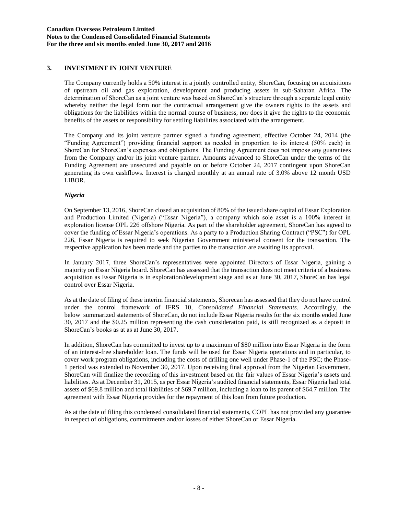## **3. INVESTMENT IN JOINT VENTURE**

The Company currently holds a 50% interest in a jointly controlled entity, ShoreCan, focusing on acquisitions of upstream oil and gas exploration, development and producing assets in sub-Saharan Africa. The determination of ShoreCan as a joint venture was based on ShoreCan's structure through a separate legal entity whereby neither the legal form nor the contractual arrangement give the owners rights to the assets and obligations for the liabilities within the normal course of business, nor does it give the rights to the economic benefits of the assets or responsibility for settling liabilities associated with the arrangement.

The Company and its joint venture partner signed a funding agreement, effective October 24, 2014 (the "Funding Agreement") providing financial support as needed in proportion to its interest (50% each) in ShoreCan for ShoreCan's expenses and obligations. The Funding Agreement does not impose any guarantees from the Company and/or its joint venture partner. Amounts advanced to ShoreCan under the terms of the Funding Agreement are unsecured and payable on or before October 24, 2017 contingent upon ShoreCan generating its own cashflows. Interest is charged monthly at an annual rate of 3.0% above 12 month USD LIBOR.

### *Nigeria*

On September 13, 2016, ShoreCan closed an acquisition of 80% of the issued share capital of Essar Exploration and Production Limited (Nigeria) ("Essar Nigeria"), a company which sole asset is a 100% interest in exploration license OPL 226 offshore Nigeria. As part of the shareholder agreement, ShoreCan has agreed to cover the funding of Essar Nigeria's operations. As a party to a Production Sharing Contract ("PSC") for OPL 226, Essar Nigeria is required to seek Nigerian Government ministerial consent for the transaction. The respective application has been made and the parties to the transaction are awaiting its approval.

In January 2017, three ShoreCan's representatives were appointed Directors of Essar Nigeria, gaining a majority on Essar Nigeria board. ShoreCan has assessed that the transaction does not meet criteria of a business acquisition as Essar Nigeria is in exploration/development stage and as at June 30, 2017, ShoreCan has legal control over Essar Nigeria.

As at the date of filing of these interim financial statements, Shorecan has assessed that they do not have control under the control framework of IFRS 10, *Consolidated Financial Statements*. Accordingly, the below summarized statements of ShoreCan, do not include Essar Nigeria results for the six months ended June 30, 2017 and the \$0.25 million representing the cash consideration paid, is still recognized as a deposit in ShoreCan's books as at as at June 30, 2017.

In addition, ShoreCan has committed to invest up to a maximum of \$80 million into Essar Nigeria in the form of an interest-free shareholder loan. The funds will be used for Essar Nigeria operations and in particular, to cover work program obligations, including the costs of drilling one well under Phase-1 of the PSC; the Phase-1 period was extended to November 30, 2017. Upon receiving final approval from the Nigerian Government, ShoreCan will finalize the recording of this investment based on the fair values of Essar Nigeria's assets and liabilities. As at December 31, 2015, as per Essar Nigeria's audited financial statements, Essar Nigeria had total assets of \$69.8 million and total liabilities of \$69.7 million, including a loan to its parent of \$64.7 million. The agreement with Essar Nigeria provides for the repayment of this loan from future production.

As at the date of filing this condensed consolidated financial statements, COPL has not provided any guarantee in respect of obligations, commitments and/or losses of either ShoreCan or Essar Nigeria.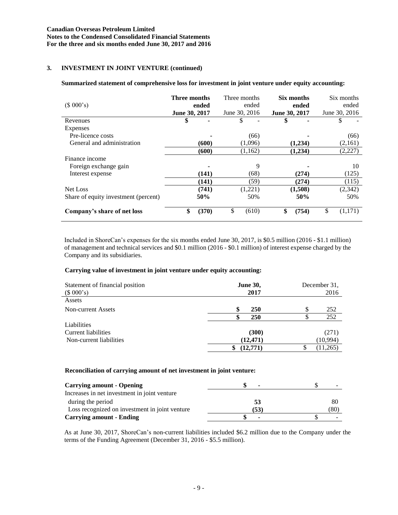# **3. INVESTMENT IN JOINT VENTURE (continued)**

### **Summarized statement of comprehensive loss for investment in joint venture under equity accounting:**

| (\$000's)                            | Three months<br>June 30, 2017 | ended | Three months<br>June 30, 2016 | ended   | June 30, 2017 | Six months<br>ended | Six months<br>ended<br>June 30, 2016 |
|--------------------------------------|-------------------------------|-------|-------------------------------|---------|---------------|---------------------|--------------------------------------|
| Revenues                             | \$                            |       | \$                            |         | \$            |                     |                                      |
| Expenses                             |                               |       |                               |         |               |                     |                                      |
| Pre-licence costs                    |                               |       |                               | (66)    |               |                     | (66)                                 |
| General and administration           |                               | (600) |                               | (1,096) |               | (1,234)             | (2,161)                              |
|                                      |                               | (600) |                               | (1,162) |               | (1,234)             | (2,227)                              |
| Finance income                       |                               |       |                               |         |               |                     |                                      |
| Foreign exchange gain                |                               |       |                               | 9       |               |                     | 10                                   |
| Interest expense                     |                               | (141) |                               | (68)    |               | (274)               | (125)                                |
|                                      |                               | (141) |                               | (59)    |               | (274)               | (115)                                |
| Net Loss                             |                               | (741) |                               | (1,221) |               | (1,508)             | (2, 342)                             |
| Share of equity investment (percent) |                               | 50%   |                               | 50%     |               | 50%                 | 50%                                  |
| Company's share of net loss          | \$                            | (370) | \$                            | (610)   | \$            | (754)               | \$<br>(1,171)                        |

Included in ShoreCan's expenses for the six months ended June 30, 2017, is \$0.5 million (2016 - \$1.1 million) of management and technical services and \$0.1 million (2016 - \$0.1 million) of interest expense charged by the Company and its subsidiaries.

#### **Carrying value of investment in joint venture under equity accounting:**

| Statement of financial position<br>(\$000's) | <b>June 30,</b><br>2017 | December 31.<br>2016 |          |  |
|----------------------------------------------|-------------------------|----------------------|----------|--|
| Assets                                       |                         |                      |          |  |
| Non-current Assets                           | S<br><b>250</b>         | S                    | 252      |  |
|                                              | 250                     |                      | 252      |  |
| Liabilities                                  |                         |                      |          |  |
| <b>Current liabilities</b>                   | (300)                   |                      | (271)    |  |
| Non-current liabilities                      | (12, 471)               |                      | (10,994) |  |
|                                              | (12,771)                |                      | (11,265) |  |

#### **Reconciliation of carrying amount of net investment in joint venture:**

| <b>Carrying amount - Opening</b>               | $\blacksquare$           |      |
|------------------------------------------------|--------------------------|------|
| Increases in net investment in joint venture   |                          |      |
| during the period                              | 53                       | 80   |
| Loss recognized on investment in joint venture | (53)                     | (80) |
| <b>Carrying amount - Ending</b>                | $\overline{\phantom{a}}$ |      |

As at June 30, 2017, ShoreCan's non-current liabilities included \$6.2 million due to the Company under the terms of the Funding Agreement (December 31, 2016 - \$5.5 million).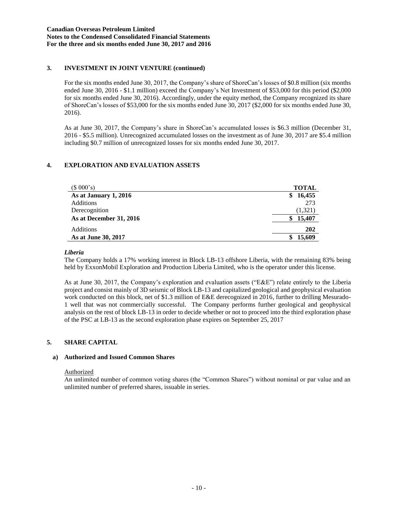# **3. INVESTMENT IN JOINT VENTURE (continued)**

For the six months ended June 30, 2017, the Company's share of ShoreCan's losses of \$0.8 million (six months ended June 30, 2016 - \$1.1 million) exceed the Company's Net Investment of \$53,000 for this period (\$2,000 for six months ended June 30, 2016). Accordingly, under the equity method, the Company recognized its share of ShoreCan's losses of \$53,000 for the six months ended June 30, 2017 (\$2,000 for six months ended June 30, 2016).

As at June 30, 2017, the Company's share in ShoreCan's accumulated losses is \$6.3 million (December 31, 2016 - \$5.5 million). Unrecognized accumulated losses on the investment as of June 30, 2017 are \$5.4 million including \$0.7 million of unrecognized losses for six months ended June 30, 2017.

# **4. EXPLORATION AND EVALUATION ASSETS**

| (\$000's)               | <b>TOTAL</b> |
|-------------------------|--------------|
| As at January 1, 2016   | 16,455<br>\$ |
| <b>Additions</b>        | 273          |
| Derecognition           | (1,321)      |
| As at December 31, 2016 | 15,407       |
| Additions               | 202          |
| As at June 30, 2017     | 15,609       |

## *Liberia*

The Company holds a 17% working interest in Block LB-13 offshore Liberia, with the remaining 83% being held by ExxonMobil Exploration and Production Liberia Limited, who is the operator under this license.

As at June 30, 2017, the Company's exploration and evaluation assets ("E&E") relate entirely to the Liberia project and consist mainly of 3D seismic of Block LB-13 and capitalized geological and geophysical evaluation work conducted on this block, net of \$1.3 million of E&E derecognized in 2016, further to drilling Mesurado-1 well that was not commercially successful. The Company performs further geological and geophysical analysis on the rest of block LB-13 in order to decide whether or not to proceed into the third exploration phase of the PSC at LB-13 as the second exploration phase expires on September 25, 2017

## **5. SHARE CAPITAL**

## **a) Authorized and Issued Common Shares**

#### Authorized

An unlimited number of common voting shares (the "Common Shares") without nominal or par value and an unlimited number of preferred shares, issuable in series.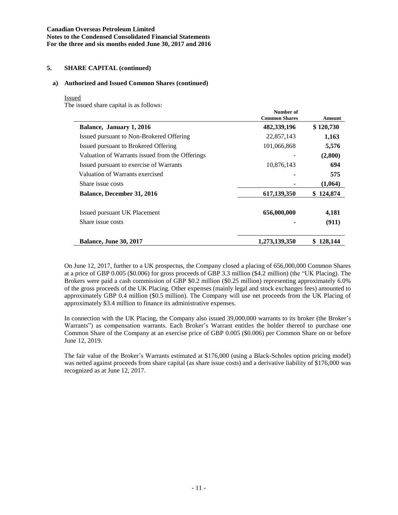# **Canadian Overseas Petroleum Limited Notes to the Condensed Consolidated Financial Statements For the three and six months ended June 30, 2017 and 2016**

# **5. SHARE CAPITAL (continued)**

### **a) Authorized and Issued Common Shares (continued)**

#### Issued

The issued share capital is as follows:

|                                                 | танност от<br><b>Common Shares</b> | <b>Amount</b> |
|-------------------------------------------------|------------------------------------|---------------|
| Balance, January 1, 2016                        | 482,339,196                        | \$120,730     |
| Issued pursuant to Non-Brokered Offering        | 22,857,143                         | 1,163         |
| Issued pursuant to Brokered Offering            | 101,066,868                        | 5,576         |
| Valuation of Warrants issued from the Offerings |                                    | (2,800)       |
| Issued pursuant to exercise of Warrants         | 10,876,143                         | 694           |
| Valuation of Warrants exercised                 |                                    | 575           |
| Share issue costs                               |                                    | (1,064)       |
| <b>Balance, December 31, 2016</b>               | 617,139,350                        | \$124,874     |
| Issued pursuant UK Placement                    | 656,000,000                        | 4,181         |
| Share issue costs                               |                                    | (911)         |
| <b>Balance, June 30, 2017</b>                   | 1.273.139.350                      | 128,144       |

**Number of**

On June 12, 2017, further to a UK prospectus, the Company closed a placing of 656,000,000 Common Shares at a price of GBP 0.005 (\$0.006) for gross proceeds of GBP 3.3 million (\$4.2 million) (the "UK Placing). The Brokers were paid a cash commission of GBP \$0.2 million (\$0.25 million) representing approximately 6.0% of the gross proceeds of the UK Placing. Other expenses (mainly legal and stock exchanges fees) amounted to approximately GBP 0.4 million (\$0.5 million). The Company will use net proceeds from the UK Placing of approximately \$3.4 million to finance its administrative expenses.

In connection with the UK Placing, the Company also issued 39,000,000 warrants to its broker (the Broker's Warrants") as compensation warrants. Each Broker's Warrant entitles the holder thereof to purchase one Common Share of the Company at an exercise price of GBP 0.005 (\$0.006) per Common Share on or before June 12, 2019.

The fair value of the Broker's Warrants estimated at \$176,000 (using a Black-Scholes option pricing model) was netted against proceeds from share capital (as share issue costs) and a derivative liability of \$176,000 was recognized as at June 12, 2017.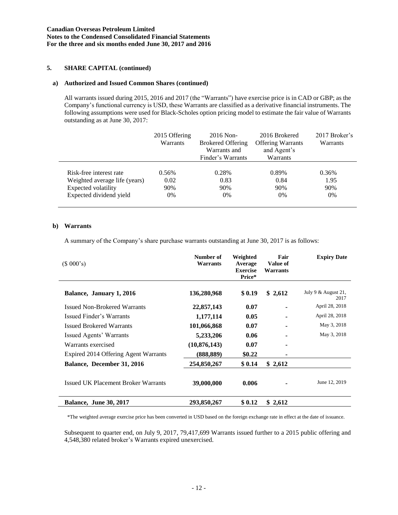# **Canadian Overseas Petroleum Limited Notes to the Condensed Consolidated Financial Statements For the three and six months ended June 30, 2017 and 2016**

# **5. SHARE CAPITAL (continued)**

### **a) Authorized and Issued Common Shares (continued)**

All warrants issued during 2015, 2016 and 2017 (the "Warrants") have exercise price is in CAD or GBP; as the Company's functional currency is USD, these Warrants are classified as a derivative financial instruments. The following assumptions were used for Black-Scholes option pricing model to estimate the fair value of Warrants outstanding as at June 30, 2017:

|                               | 2015 Offering<br><b>Warrants</b> | $2016$ Non-<br><b>Brokered Offering</b><br>Warrants and<br>Finder's Warrants | 2016 Brokered<br><b>Offering Warrants</b><br>and Agent's<br>Warrants | 2017 Broker's<br>Warrants |
|-------------------------------|----------------------------------|------------------------------------------------------------------------------|----------------------------------------------------------------------|---------------------------|
| Risk-free interest rate       | 0.56%                            | 0.28%                                                                        | 0.89%                                                                | 0.36%                     |
| Weighted average life (years) | 0.02                             | 0.83                                                                         | 0.84                                                                 | 1.95                      |
| Expected volatility           | 90%                              | 90%                                                                          | 90%                                                                  | 90%                       |
| Expected dividend yield       | 0%                               | $0\%$                                                                        | $0\%$                                                                | 0%                        |

## **b) Warrants**

A summary of the Company's share purchase warrants outstanding at June 30, 2017 is as follows:

| (\$000's)                            | Number of<br>Warrants | Weighted<br>Average<br><b>Exercise</b><br>Price* | Fair<br>Value of<br>Warrants | <b>Expiry Date</b>            |
|--------------------------------------|-----------------------|--------------------------------------------------|------------------------------|-------------------------------|
| Balance, January 1, 2016             | 136,280,968           | \$0.19                                           | \$2,612                      | July 9 $&$ August 21,<br>2017 |
| <b>Issued Non-Brokered Warrants</b>  | 22,857,143            | 0.07                                             |                              | April 28, 2018                |
| Issued Finder's Warrants             | 1,177,114             | 0.05                                             |                              | April 28, 2018                |
| <b>Issued Brokered Warrants</b>      | 101,066,868           | 0.07                                             |                              | May 3, 2018                   |
| Issued Agents' Warrants              | 5,233,206             | 0.06                                             |                              | May 3, 2018                   |
| Warrants exercised                   | (10, 876, 143)        | 0.07                                             |                              |                               |
| Expired 2014 Offering Agent Warrants | (888,889)             | \$0.22                                           |                              |                               |
| Balance, December 31, 2016           | 254,850,267           | \$0.14                                           | \$2,612                      |                               |
| Issued UK Placement Broker Warrants  | 39,000,000            | 0.006                                            |                              | June 12, 2019                 |
| <b>Balance, June 30, 2017</b>        | 293,850,267           | \$0.12                                           | \$2,612                      |                               |

\*The weighted average exercise price has been converted in USD based on the foreign exchange rate in effect at the date of issuance.

Subsequent to quarter end, on July 9, 2017, 79,417,699 Warrants issued further to a 2015 public offering and 4,548,380 related broker's Warrants expired unexercised.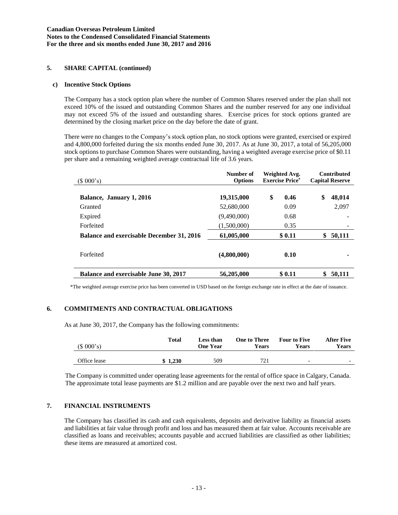# **5. SHARE CAPITAL (continued)**

### **c) Incentive Stock Options**

The Company has a stock option plan where the number of Common Shares reserved under the plan shall not exceed 10% of the issued and outstanding Common Shares and the number reserved for any one individual may not exceed 5% of the issued and outstanding shares. Exercise prices for stock options granted are determined by the closing market price on the day before the date of grant.

There were no changes to the Company's stock option plan, no stock options were granted, exercised or expired and 4,800,000 forfeited during the six months ended June 30, 2017. As at June 30, 2017, a total of 56,205,000 stock options to purchase Common Shares were outstanding, having a weighted average exercise price of \$0.11 per share and a remaining weighted average contractual life of 3.6 years.

| (\$000's)                                        | Number of<br><b>Options</b> | Weighted Avg.<br><b>Exercise Price*</b> | <b>Contributed</b><br><b>Capital Reserve</b> |
|--------------------------------------------------|-----------------------------|-----------------------------------------|----------------------------------------------|
| Balance, January 1, 2016                         | 19,315,000                  | \$<br>0.46                              | \$<br>48,014                                 |
| Granted                                          | 52,680,000                  | 0.09                                    | 2,097                                        |
| Expired                                          | (9,490,000)                 | 0.68                                    |                                              |
| Forfeited                                        | (1,500,000)                 | 0.35                                    |                                              |
| <b>Balance and exercisable December 31, 2016</b> | 61,005,000                  | \$0.11                                  | 50,111<br>\$                                 |
| Forfeited                                        | (4,800,000)                 | 0.10                                    |                                              |
| Balance and exercisable June 30, 2017            | 56,205,000                  | \$0.11                                  | 50,111<br>S                                  |

\*The weighted average exercise price has been converted in USD based on the foreign exchange rate in effect at the date of issuance.

## **6. COMMITMENTS AND CONTRACTUAL OBLIGATIONS**

As at June 30, 2017, the Company has the following commitments:

| (\$000's)    | <b>Total</b> | Less than<br><b>One Year</b> | <b>One to Three</b><br>Years | <b>Four to Five</b><br>Years | <b>After Five</b><br>Years |
|--------------|--------------|------------------------------|------------------------------|------------------------------|----------------------------|
| Office lease | \$1.230      | 509                          | 721                          | $\overline{\phantom{0}}$     | $\overline{\phantom{0}}$   |

The Company is committed under operating lease agreements for the rental of office space in Calgary, Canada. The approximate total lease payments are \$1.2 million and are payable over the next two and half years.

## **7. FINANCIAL INSTRUMENTS**

The Company has classified its cash and cash equivalents, deposits and derivative liability as financial assets and liabilities at fair value through profit and loss and has measured them at fair value. Accounts receivable are classified as loans and receivables; accounts payable and accrued liabilities are classified as other liabilities; these items are measured at amortized cost.